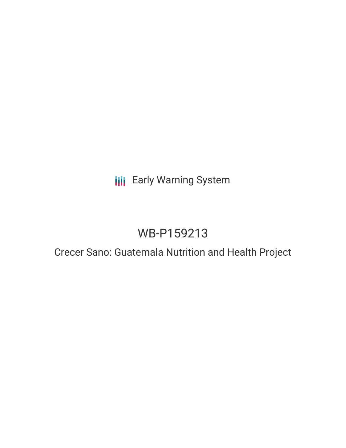## **III** Early Warning System

# WB-P159213

## Crecer Sano: Guatemala Nutrition and Health Project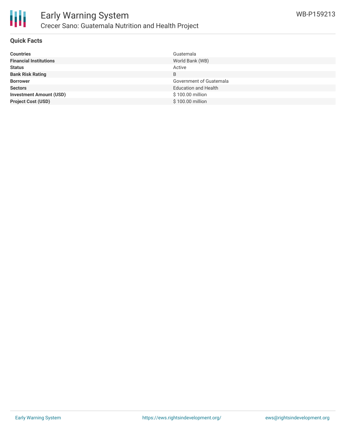

### **Quick Facts**

| <b>Countries</b>               | Guatemala                      |
|--------------------------------|--------------------------------|
| <b>Financial Institutions</b>  | World Bank (WB)                |
| <b>Status</b>                  | Active                         |
| <b>Bank Risk Rating</b>        | B                              |
| <b>Borrower</b>                | <b>Government of Guatemala</b> |
| <b>Sectors</b>                 | <b>Education and Health</b>    |
| <b>Investment Amount (USD)</b> | \$100.00 million               |
| <b>Project Cost (USD)</b>      | \$100.00 million               |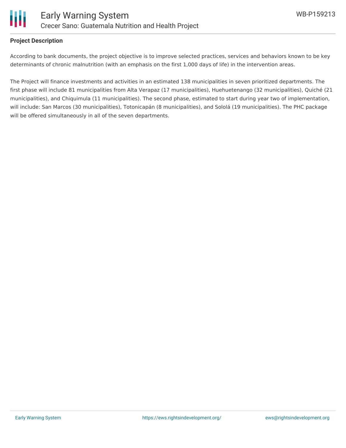

### **Project Description**

According to bank documents, the project objective is to improve selected practices, services and behaviors known to be key determinants of chronic malnutrition (with an emphasis on the first 1,000 days of life) in the intervention areas.

The Project will finance investments and activities in an estimated 138 municipalities in seven prioritized departments. The first phase will include 81 municipalities from Alta Verapaz (17 municipalities), Huehuetenango (32 municipalities), Quiché (21 municipalities), and Chiquimula (11 municipalities). The second phase, estimated to start during year two of implementation, will include: San Marcos (30 municipalities), Totonicapán (8 municipalities), and Sololá (19 municipalities). The PHC package will be offered simultaneously in all of the seven departments.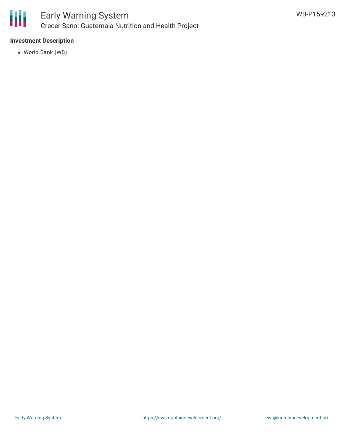

### Early Warning System Crecer Sano: Guatemala Nutrition and Health Project

### **Investment Description**

World Bank (WB)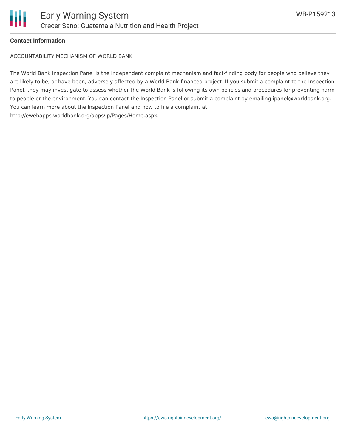

### **Contact Information**

ACCOUNTABILITY MECHANISM OF WORLD BANK

The World Bank Inspection Panel is the independent complaint mechanism and fact-finding body for people who believe they are likely to be, or have been, adversely affected by a World Bank-financed project. If you submit a complaint to the Inspection Panel, they may investigate to assess whether the World Bank is following its own policies and procedures for preventing harm to people or the environment. You can contact the Inspection Panel or submit a complaint by emailing ipanel@worldbank.org. You can learn more about the Inspection Panel and how to file a complaint at: http://ewebapps.worldbank.org/apps/ip/Pages/Home.aspx.